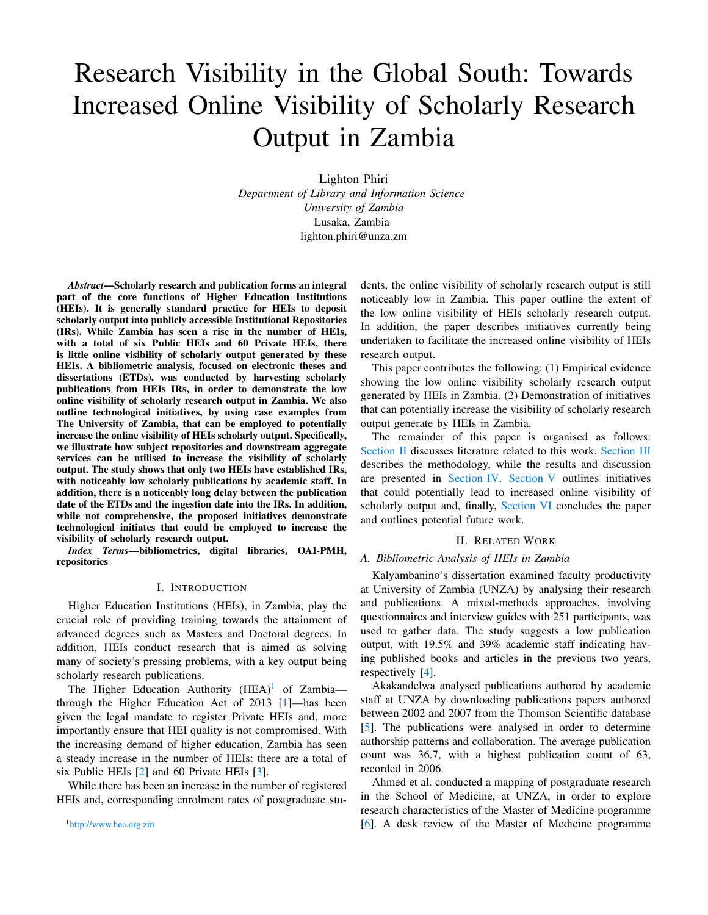# Research Visibility in the Global South: Towards Increased Online Visibility of Scholarly Research Output in Zambia

Lighton Phiri *Department of Library and Information Science University of Zambia* Lusaka, Zambia lighton.phiri@unza.zm

*Abstract*—Scholarly research and publication forms an integral part of the core functions of Higher Education Institutions (HEIs). It is generally standard practice for HEIs to deposit scholarly output into publicly accessible Institutional Repositories (IRs). While Zambia has seen a rise in the number of HEIs, with a total of six Public HEIs and 60 Private HEIs, there is little online visibility of scholarly output generated by these HEIs. A bibliometric analysis, focused on electronic theses and dissertations (ETDs), was conducted by harvesting scholarly publications from HEIs IRs, in order to demonstrate the low online visibility of scholarly research output in Zambia. We also outline technological initiatives, by using case examples from The University of Zambia, that can be employed to potentially increase the online visibility of HEIs scholarly output. Specifically, we illustrate how subject repositories and downstream aggregate services can be utilised to increase the visibility of scholarly output. The study shows that only two HEIs have established IRs, with noticeably low scholarly publications by academic staff. In addition, there is a noticeably long delay between the publication date of the ETDs and the ingestion date into the IRs. In addition, while not comprehensive, the proposed initiatives demonstrate technological initiates that could be employed to increase the visibility of scholarly research output.

*Index Terms*—bibliometrics, digital libraries, OAI-PMH, repositories

#### I. INTRODUCTION

Higher Education Institutions (HEIs), in Zambia, play the crucial role of providing training towards the attainment of advanced degrees such as Masters and Doctoral degrees. In addition, HEIs conduct research that is aimed as solving many of society's pressing problems, with a key output being scholarly research publications.

The Higher Education Authority  $(HEA)^1$  $(HEA)^1$  of Zambia through the Higher Education Act of 2013 [\[1\]](#page-4-0)—has been given the legal mandate to register Private HEIs and, more importantly ensure that HEI quality is not compromised. With the increasing demand of higher education, Zambia has seen a steady increase in the number of HEIs: there are a total of six Public HEIs [\[2\]](#page-4-1) and 60 Private HEIs [\[3\]](#page-4-2).

<span id="page-0-0"></span>While there has been an increase in the number of registered HEIs and, corresponding enrolment rates of postgraduate students, the online visibility of scholarly research output is still noticeably low in Zambia. This paper outline the extent of the low online visibility of HEIs scholarly research output. In addition, the paper describes initiatives currently being undertaken to facilitate the increased online visibility of HEIs research output.

This paper contributes the following: (1) Empirical evidence showing the low online visibility scholarly research output generated by HEIs in Zambia. (2) Demonstration of initiatives that can potentially increase the visibility of scholarly research output generate by HEIs in Zambia.

The remainder of this paper is organised as follows: [Section II](#page-0-1) discusses literature related to this work. [Section III](#page-1-0) describes the methodology, while the results and discussion are presented in [Section IV.](#page-2-0) [Section V](#page-3-0) outlines initiatives that could potentially lead to increased online visibility of scholarly output and, finally, [Section VI](#page-4-3) concludes the paper and outlines potential future work.

#### II. RELATED WORK

#### <span id="page-0-1"></span>*A. Bibliometric Analysis of HEIs in Zambia*

Kalyambanino's dissertation examined faculty productivity at University of Zambia (UNZA) by analysing their research and publications. A mixed-methods approaches, involving questionnaires and interview guides with 251 participants, was used to gather data. The study suggests a low publication output, with 19.5% and 39% academic staff indicating having published books and articles in the previous two years, respectively [\[4\]](#page-4-4).

Akakandelwa analysed publications authored by academic staff at UNZA by downloading publications papers authored between 2002 and 2007 from the Thomson Scientific database [\[5\]](#page-4-5). The publications were analysed in order to determine authorship patterns and collaboration. The average publication count was 36.7, with a highest publication count of 63, recorded in 2006.

Ahmed et al. conducted a mapping of postgraduate research in the School of Medicine, at UNZA, in order to explore research characteristics of the Master of Medicine programme [\[6\]](#page-4-6). A desk review of the Master of Medicine programme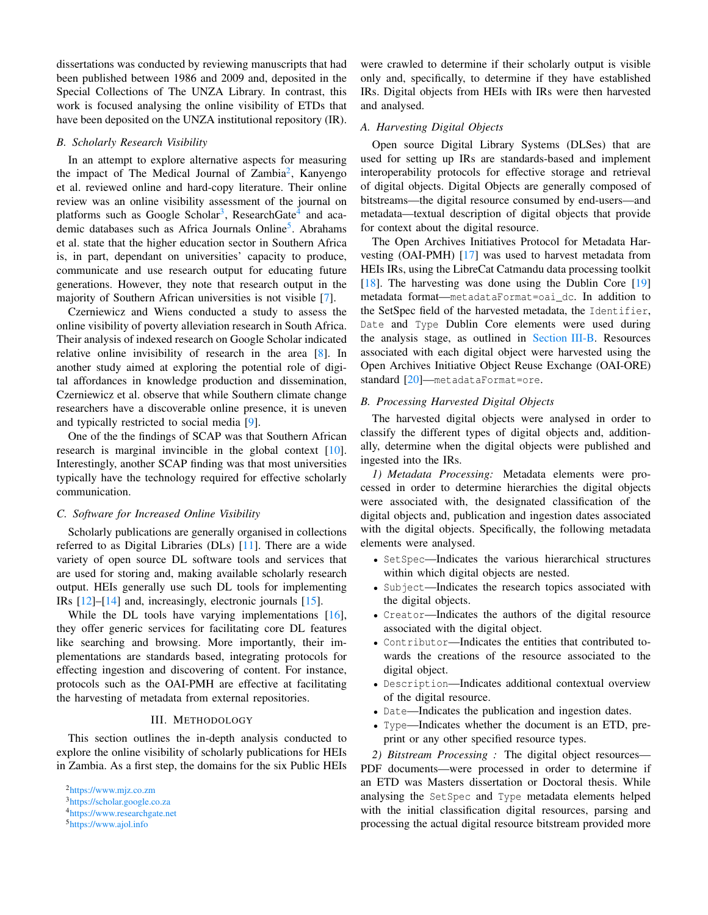dissertations was conducted by reviewing manuscripts that had been published between 1986 and 2009 and, deposited in the Special Collections of The UNZA Library. In contrast, this work is focused analysing the online visibility of ETDs that have been deposited on the UNZA institutional repository (IR).

#### *B. Scholarly Research Visibility*

In an attempt to explore alternative aspects for measuring the impact of The Medical Journal of Zambia<sup>[2](#page-1-1)</sup>, Kanyengo et al. reviewed online and hard-copy literature. Their online review was an online visibility assessment of the journal on platforms such as Google Scholar<sup>[3](#page-1-2)</sup>, ResearchGate<sup>[4](#page-1-3)</sup> and aca-demic databases such as Africa Journals Online<sup>[5](#page-1-4)</sup>. Abrahams et al. state that the higher education sector in Southern Africa is, in part, dependant on universities' capacity to produce, communicate and use research output for educating future generations. However, they note that research output in the majority of Southern African universities is not visible [\[7\]](#page-5-0).

Czerniewicz and Wiens conducted a study to assess the online visibility of poverty alleviation research in South Africa. Their analysis of indexed research on Google Scholar indicated relative online invisibility of research in the area [\[8\]](#page-5-1). In another study aimed at exploring the potential role of digital affordances in knowledge production and dissemination, Czerniewicz et al. observe that while Southern climate change researchers have a discoverable online presence, it is uneven and typically restricted to social media [\[9\]](#page-5-2).

One of the the findings of SCAP was that Southern African research is marginal invincible in the global context [\[10\]](#page-5-3). Interestingly, another SCAP finding was that most universities typically have the technology required for effective scholarly communication.

#### *C. Software for Increased Online Visibility*

Scholarly publications are generally organised in collections referred to as Digital Libraries (DLs) [\[11\]](#page-5-4). There are a wide variety of open source DL software tools and services that are used for storing and, making available scholarly research output. HEIs generally use such DL tools for implementing IRs [\[12\]](#page-5-5)–[\[14\]](#page-5-6) and, increasingly, electronic journals [\[15\]](#page-5-7).

While the DL tools have varying implementations [\[16\]](#page-5-8), they offer generic services for facilitating core DL features like searching and browsing. More importantly, their implementations are standards based, integrating protocols for effecting ingestion and discovering of content. For instance, protocols such as the OAI-PMH are effective at facilitating the harvesting of metadata from external repositories.

## III. METHODOLOGY

<span id="page-1-0"></span>This section outlines the in-depth analysis conducted to explore the online visibility of scholarly publications for HEIs in Zambia. As a first step, the domains for the six Public HEIs

<sup>2</sup><https://www.mjz.co.zm>

were crawled to determine if their scholarly output is visible only and, specifically, to determine if they have established IRs. Digital objects from HEIs with IRs were then harvested and analysed.

#### *A. Harvesting Digital Objects*

Open source Digital Library Systems (DLSes) that are used for setting up IRs are standards-based and implement interoperability protocols for effective storage and retrieval of digital objects. Digital Objects are generally composed of bitstreams—the digital resource consumed by end-users—and metadata—textual description of digital objects that provide for context about the digital resource.

The Open Archives Initiatives Protocol for Metadata Harvesting (OAI-PMH) [\[17\]](#page-5-9) was used to harvest metadata from HEIs IRs, using the LibreCat Catmandu data processing toolkit [\[18\]](#page-5-10). The harvesting was done using the Dublin Core [\[19\]](#page-5-11) metadata format—metadataFormat=oai\_dc. In addition to the SetSpec field of the harvested metadata, the Identifier, Date and Type Dublin Core elements were used during the analysis stage, as outlined in [Section III-B.](#page-1-5) Resources associated with each digital object were harvested using the Open Archives Initiative Object Reuse Exchange (OAI-ORE) standard [\[20\]](#page-5-12)-metadataFormat=ore.

# <span id="page-1-5"></span>*B. Processing Harvested Digital Objects*

The harvested digital objects were analysed in order to classify the different types of digital objects and, additionally, determine when the digital objects were published and ingested into the IRs.

*1) Metadata Processing:* Metadata elements were processed in order to determine hierarchies the digital objects were associated with, the designated classification of the digital objects and, publication and ingestion dates associated with the digital objects. Specifically, the following metadata elements were analysed.

- SetSpec—Indicates the various hierarchical structures within which digital objects are nested.
- Subject—Indicates the research topics associated with the digital objects.
- Creator—Indicates the authors of the digital resource associated with the digital object.
- Contributor—Indicates the entities that contributed towards the creations of the resource associated to the digital object.
- Description—Indicates additional contextual overview of the digital resource.
- Date—Indicates the publication and ingestion dates.
- Type—Indicates whether the document is an ETD, preprint or any other specified resource types.

*2) Bitstream Processing :* The digital object resources— PDF documents—were processed in order to determine if an ETD was Masters dissertation or Doctoral thesis. While analysing the SetSpec and Type metadata elements helped with the initial classification digital resources, parsing and processing the actual digital resource bitstream provided more

<span id="page-1-1"></span><sup>3</sup><https://scholar.google.co.za>

<span id="page-1-2"></span><sup>4</sup><https://www.researchgate.net>

<span id="page-1-4"></span><span id="page-1-3"></span><sup>5</sup><https://www.ajol.info>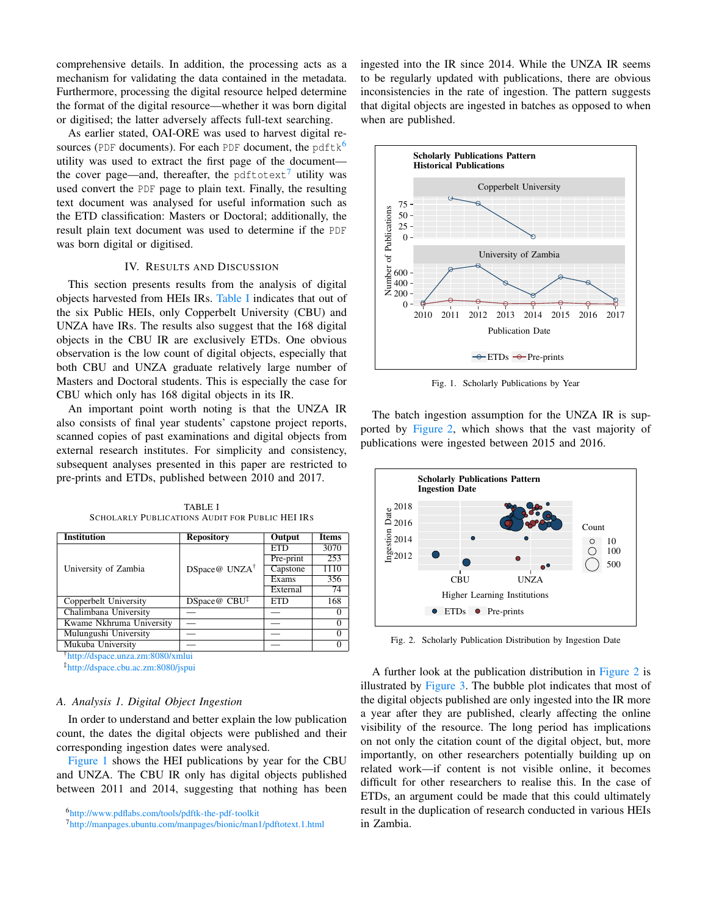comprehensive details. In addition, the processing acts as a mechanism for validating the data contained in the metadata. Furthermore, processing the digital resource helped determine the format of the digital resource—whether it was born digital or digitised; the latter adversely affects full-text searching.

As earlier stated, OAI-ORE was used to harvest digital resources (PDF documents). For each PDF document, the pdftk $^6$  $^6$ utility was used to extract the first page of the document— the cover page—and, thereafter, the pdftotext<sup>[7](#page-2-2)</sup> utility was used convert the PDF page to plain text. Finally, the resulting text document was analysed for useful information such as the ETD classification: Masters or Doctoral; additionally, the result plain text document was used to determine if the PDF was born digital or digitised.

#### IV. RESULTS AND DISCUSSION

<span id="page-2-0"></span>This section presents results from the analysis of digital objects harvested from HEIs IRs. [Table I](#page-2-3) indicates that out of the six Public HEIs, only Copperbelt University (CBU) and UNZA have IRs. The results also suggest that the 168 digital objects in the CBU IR are exclusively ETDs. One obvious observation is the low count of digital objects, especially that both CBU and UNZA graduate relatively large number of Masters and Doctoral students. This is especially the case for CBU which only has 168 digital objects in its IR.

An important point worth noting is that the UNZA IR also consists of final year students' capstone project reports, scanned copies of past examinations and digital objects from external research institutes. For simplicity and consistency, subsequent analyses presented in this paper are restricted to pre-prints and ETDs, published between 2010 and 2017.

TABLE I SCHOLARLY PUBLICATIONS AUDIT FOR PUBLIC HEI IRS

<span id="page-2-3"></span>

| <b>Institution</b>       | <b>Repository</b>          | <b>Output</b> | <b>Items</b> |
|--------------------------|----------------------------|---------------|--------------|
| University of Zambia     | DSpace@ UNZA <sup>†</sup>  | ETD           | 3070         |
|                          |                            | Pre-print     | 253          |
|                          |                            | Capstone      | 1110         |
|                          |                            | Exams         | 356          |
|                          |                            | External      | 74           |
| Copperbelt University    | $DSpace@$ $CBU^{\ddagger}$ | <b>ETD</b>    | 168          |
| Chalimbana University    |                            |               |              |
| Kwame Nkhruma University |                            |               |              |
| Mulungushi University    |                            |               |              |
| Mukuba University        |                            |               |              |

†<http://dspace.unza.zm:8080/xmlui>

‡<http://dspace.cbu.ac.zm:8080/jspui>

#### <span id="page-2-6"></span>*A. Analysis 1. Digital Object Ingestion*

In order to understand and better explain the low publication count, the dates the digital objects were published and their corresponding ingestion dates were analysed.

[Figure 1](#page-2-4) shows the HEI publications by year for the CBU and UNZA. The CBU IR only has digital objects published between 2011 and 2014, suggesting that nothing has been ingested into the IR since 2014. While the UNZA IR seems to be regularly updated with publications, there are obvious inconsistencies in the rate of ingestion. The pattern suggests that digital objects are ingested in batches as opposed to when when are published.



<span id="page-2-4"></span>Fig. 1. Scholarly Publications by Year

The batch ingestion assumption for the UNZA IR is supported by [Figure 2,](#page-2-5) which shows that the vast majority of publications were ingested between 2015 and 2016.



<span id="page-2-5"></span>Fig. 2. Scholarly Publication Distribution by Ingestion Date

A further look at the publication distribution in [Figure 2](#page-2-5) is illustrated by [Figure 3.](#page-3-1) The bubble plot indicates that most of the digital objects published are only ingested into the IR more a year after they are published, clearly affecting the online visibility of the resource. The long period has implications on not only the citation count of the digital object, but, more importantly, on other researchers potentially building up on related work—if content is not visible online, it becomes difficult for other researchers to realise this. In the case of ETDs, an argument could be made that this could ultimately result in the duplication of research conducted in various HEIs in Zambia.

<sup>6</sup><http://www.pdflabs.com/tools/pdftk-the-pdf-toolkit>

<span id="page-2-2"></span><span id="page-2-1"></span><sup>7</sup><http://manpages.ubuntu.com/manpages/bionic/man1/pdftotext.1.html>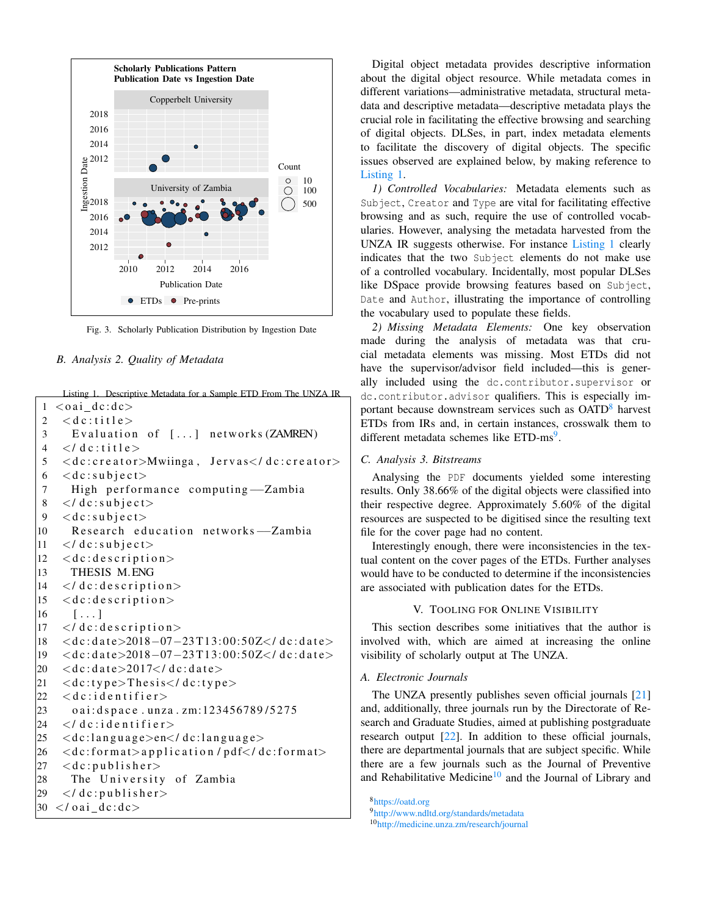

<span id="page-3-1"></span>Fig. 3. Scholarly Publication Distribution by Ingestion Date

## <span id="page-3-2"></span>*B. Analysis 2. Quality of Metadata*

Listing 1. Descriptive Metadata for a Sample ETD From The UNZA IR

```
1 < oai_d c : dc >2 < d c : t i t l e >
3 Evaluation of [...] networks (ZAMREN)
4 \le d c: title >
5 <dc:creator>Mwiinga, Jervas</dc:creator>
6 < dc: subject>
7 High performance computing—Zambia
8 \le d dc: subject>
9 < dc: subject>
10 Research education networks — Zambia
11 \le d dc: subject>
12 < dc: description>
13 THESIS M.ENG
14 \le d c: description>
15 < \leq dc: description>16 \quad [\ldots]17 < /dc: description>
18 <dc:date>2018-07-23T13:00:50Z</dc:date>
19 <dc:date>2018-07-23T13:00:50Z</dc:date>
20 < dc: date>2017</ dc: date>21 \langle decitype\rangleThesis\langle decitype\rangle22 < d c: i d e n t i f i e r >23 o ai: d sp a c e . u nza . zm: 123456789/5275
24 </dc: i d e n t i f i e r >25 < \leq dc: language \geqen\leq / dc: language >26 < \leq dc: form at > application / pdf\leq/ dc: form at >27 < dc: publisher >
28 The University of Zambia
29 </ dc: publisher>
30 \lt / \text{oai}_de : dc
```
Digital object metadata provides descriptive information about the digital object resource. While metadata comes in different variations—administrative metadata, structural metadata and descriptive metadata—descriptive metadata plays the crucial role in facilitating the effective browsing and searching of digital objects. DLSes, in part, index metadata elements to facilitate the discovery of digital objects. The specific issues observed are explained below, by making reference to [Listing 1.](#page-3-2)

*1) Controlled Vocabularies:* Metadata elements such as Subject, Creator and Type are vital for facilitating effective browsing and as such, require the use of controlled vocabularies. However, analysing the metadata harvested from the UNZA IR suggests otherwise. For instance [Listing 1](#page-3-2) clearly indicates that the two Subject elements do not make use of a controlled vocabulary. Incidentally, most popular DLSes like DSpace provide browsing features based on Subject, Date and Author, illustrating the importance of controlling the vocabulary used to populate these fields.

*2) Missing Metadata Elements:* One key observation made during the analysis of metadata was that crucial metadata elements was missing. Most ETDs did not have the supervisor/advisor field included—this is generally included using the dc.contributor.supervisor or dc.contributor.advisor qualifiers. This is especially im-portant because downstream services such as OATD<sup>[8](#page-3-3)</sup> harvest ETDs from IRs and, in certain instances, crosswalk them to different metadata schemes like ETD-ms<sup>[9](#page-3-4)</sup>.

#### *C. Analysis 3. Bitstreams*

Analysing the PDF documents yielded some interesting results. Only 38.66% of the digital objects were classified into their respective degree. Approximately 5.60% of the digital resources are suspected to be digitised since the resulting text file for the cover page had no content.

Interestingly enough, there were inconsistencies in the textual content on the cover pages of the ETDs. Further analyses would have to be conducted to determine if the inconsistencies are associated with publication dates for the ETDs.

## V. TOOLING FOR ONLINE VISIBILITY

<span id="page-3-0"></span>This section describes some initiatives that the author is involved with, which are aimed at increasing the online visibility of scholarly output at The UNZA.

# *A. Electronic Journals*

The UNZA presently publishes seven official journals [\[21\]](#page-5-13) and, additionally, three journals run by the Directorate of Research and Graduate Studies, aimed at publishing postgraduate research output [\[22\]](#page-5-14). In addition to these official journals, there are departmental journals that are subject specific. While there are a few journals such as the Journal of Preventive and Rehabilitative Medicine<sup>[10](#page-3-5)</sup> and the Journal of Library and

<span id="page-3-5"></span><span id="page-3-4"></span><span id="page-3-3"></span><sup>8</sup><https://oatd.org> <sup>9</sup><http://www.ndltd.org/standards/metadata> <sup>10</sup><http://medicine.unza.zm/research/journal>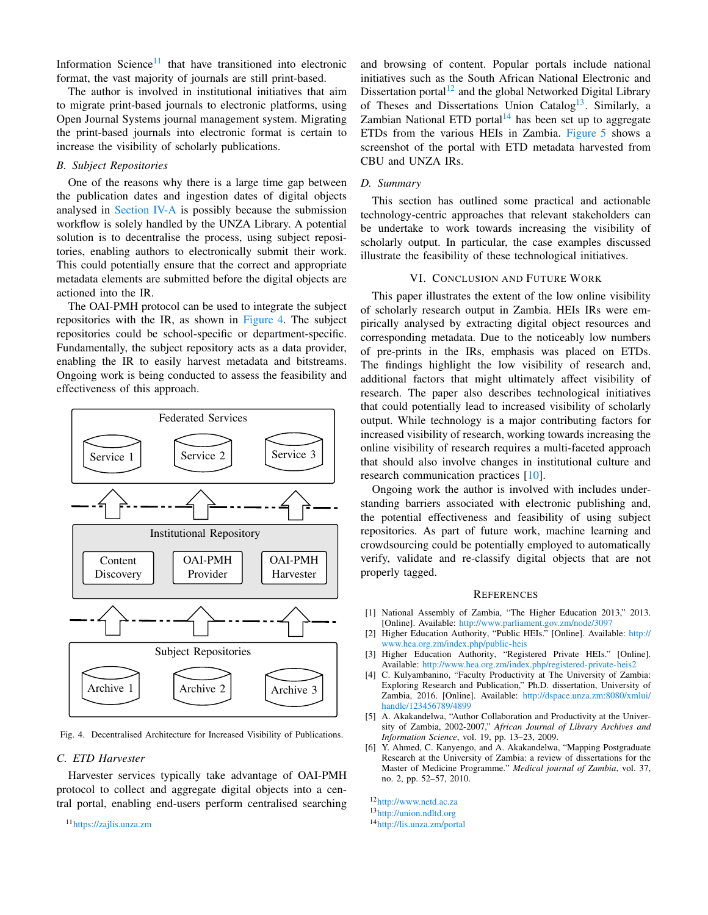Information Science $11$  that have transitioned into electronic format, the vast majority of journals are still print-based.

The author is involved in institutional initiatives that aim to migrate print-based journals to electronic platforms, using Open Journal Systems journal management system. Migrating the print-based journals into electronic format is certain to increase the visibility of scholarly publications.

### *B. Subject Repositories*

One of the reasons why there is a large time gap between the publication dates and ingestion dates of digital objects analysed in [Section IV-A](#page-2-6) is possibly because the submission workflow is solely handled by the UNZA Library. A potential solution is to decentralise the process, using subject repositories, enabling authors to electronically submit their work. This could potentially ensure that the correct and appropriate metadata elements are submitted before the digital objects are actioned into the IR.

The OAI-PMH protocol can be used to integrate the subject repositories with the IR, as shown in [Figure 4.](#page-4-8) The subject repositories could be school-specific or department-specific. Fundamentally, the subject repository acts as a data provider, enabling the IR to easily harvest metadata and bitstreams. Ongoing work is being conducted to assess the feasibility and effectiveness of this approach.



<span id="page-4-8"></span>Fig. 4. Decentralised Architecture for Increased Visibility of Publications.

#### *C. ETD Harvester*

Harvester services typically take advantage of OAI-PMH protocol to collect and aggregate digital objects into a central portal, enabling end-users perform centralised searching

<span id="page-4-7"></span><sup>11</sup><https://zajlis.unza.zm>

and browsing of content. Popular portals include national initiatives such as the South African National Electronic and Dissertation portal<sup>[12](#page-4-9)</sup> and the global Networked Digital Library of Theses and Dissertations Union Catalog<sup>[13](#page-4-10)</sup>. Similarly, a Zambian National ETD portal $14$  has been set up to aggregate ETDs from the various HEIs in Zambia. [Figure 5](#page-5-15) shows a screenshot of the portal with ETD metadata harvested from CBU and UNZA IRs.

# *D. Summary*

This section has outlined some practical and actionable technology-centric approaches that relevant stakeholders can be undertake to work towards increasing the visibility of scholarly output. In particular, the case examples discussed illustrate the feasibility of these technological initiatives.

## VI. CONCLUSION AND FUTURE WORK

<span id="page-4-3"></span>This paper illustrates the extent of the low online visibility of scholarly research output in Zambia. HEIs IRs were empirically analysed by extracting digital object resources and corresponding metadata. Due to the noticeably low numbers of pre-prints in the IRs, emphasis was placed on ETDs. The findings highlight the low visibility of research and, additional factors that might ultimately affect visibility of research. The paper also describes technological initiatives that could potentially lead to increased visibility of scholarly output. While technology is a major contributing factors for increased visibility of research, working towards increasing the online visibility of research requires a multi-faceted approach that should also involve changes in institutional culture and research communication practices [\[10\]](#page-5-3).

Ongoing work the author is involved with includes understanding barriers associated with electronic publishing and, the potential effectiveness and feasibility of using subject repositories. As part of future work, machine learning and crowdsourcing could be potentially employed to automatically verify, validate and re-classify digital objects that are not properly tagged.

#### **REFERENCES**

- <span id="page-4-0"></span>[1] National Assembly of Zambia, "The Higher Education 2013," 2013. [Online]. Available: <http://www.parliament.gov.zm/node/3097>
- <span id="page-4-1"></span>[2] Higher Education Authority, "Public HEIs." [Online]. Available: [http://](http://www.hea.org.zm/index.php/public-heis) [www.hea.org.zm/index.php/public-heis](http://www.hea.org.zm/index.php/public-heis)
- <span id="page-4-2"></span>[3] Higher Education Authority, "Registered Private HEIs." [Online]. Available: <http://www.hea.org.zm/index.php/registered-private-heis2>
- <span id="page-4-4"></span>[4] C. Kulyambanino, "Faculty Productivity at The University of Zambia: Exploring Research and Publication," Ph.D. dissertation, University of Zambia, 2016. [Online]. Available: [http://dspace.unza.zm:8080/xmlui/](http://dspace.unza.zm:8080/xmlui/handle/123456789/4899) [handle/123456789/4899](http://dspace.unza.zm:8080/xmlui/handle/123456789/4899)
- <span id="page-4-5"></span>[5] A. Akakandelwa, "Author Collaboration and Productivity at the University of Zambia, 2002-2007," *African Journal of Library Archives and Information Science*, vol. 19, pp. 13–23, 2009.
- <span id="page-4-6"></span>[6] Y. Ahmed, C. Kanyengo, and A. Akakandelwa, "Mapping Postgraduate Research at the University of Zambia: a review of dissertations for the Master of Medicine Programme." *Medical journal of Zambia*, vol. 37, no. 2, pp. 52–57, 2010.

<span id="page-4-11"></span><span id="page-4-10"></span><span id="page-4-9"></span><sup>12</sup><http://www.netd.ac.za> <sup>13</sup><http://union.ndltd.org> <sup>14</sup><http://lis.unza.zm/portal>